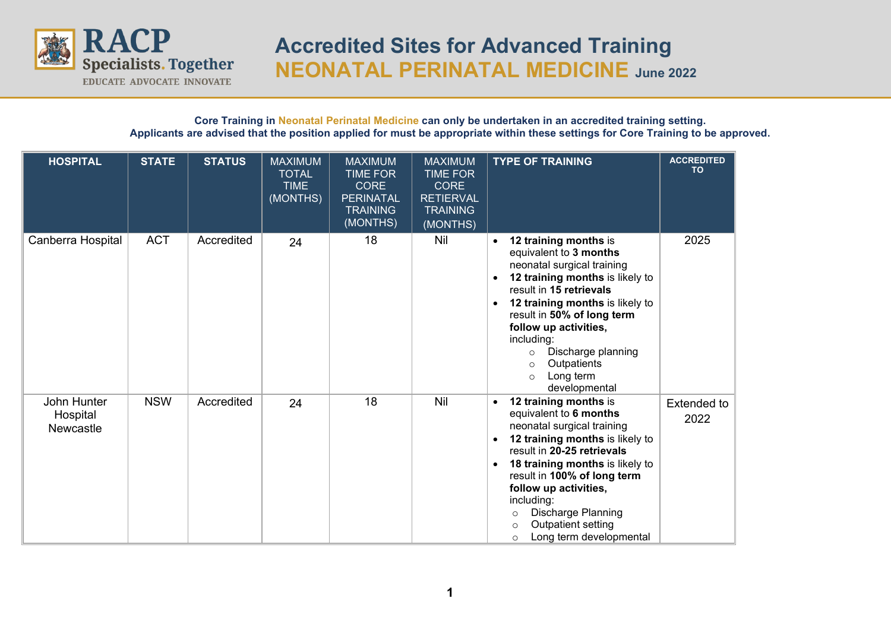

## **Core Training in Neonatal Perinatal Medicine can only be undertaken in an accredited training setting. Applicants are advised that the position applied for must be appropriate within these settings for Core Training to be approved.**

| <b>HOSPITAL</b>                             | <b>STATE</b> | <b>STATUS</b> | <b>MAXIMUM</b><br><b>TOTAL</b><br><b>TIME</b><br>(MONTHS) | <b>MAXIMUM</b><br><b>TIME FOR</b><br><b>CORE</b><br><b>PERINATAL</b><br><b>TRAINING</b><br>(MONTHS) | <b>MAXIMUM</b><br><b>TIME FOR</b><br><b>CORE</b><br><b>RETIERVAL</b><br><b>TRAINING</b><br>(MONTHS) | <b>TYPE OF TRAINING</b>                                                                                                                                                                                                                                                                                                                                                                                 | <b>ACCREDITED</b><br><b>TO</b> |
|---------------------------------------------|--------------|---------------|-----------------------------------------------------------|-----------------------------------------------------------------------------------------------------|-----------------------------------------------------------------------------------------------------|---------------------------------------------------------------------------------------------------------------------------------------------------------------------------------------------------------------------------------------------------------------------------------------------------------------------------------------------------------------------------------------------------------|--------------------------------|
| Canberra Hospital                           | <b>ACT</b>   | Accredited    | 24                                                        | 18                                                                                                  | Nil                                                                                                 | 12 training months is<br>$\bullet$<br>equivalent to 3 months<br>neonatal surgical training<br>12 training months is likely to<br>$\bullet$<br>result in 15 retrievals<br>12 training months is likely to<br>$\bullet$<br>result in 50% of long term<br>follow up activities,<br>including:<br>Discharge planning<br>$\circ$<br>Outpatients<br>$\circ$<br>Long term<br>$\circ$<br>developmental          | 2025                           |
| John Hunter<br>Hospital<br><b>Newcastle</b> | <b>NSW</b>   | Accredited    | 24                                                        | 18                                                                                                  | <b>Nil</b>                                                                                          | 12 training months is<br>$\bullet$<br>equivalent to 6 months<br>neonatal surgical training<br>12 training months is likely to<br>$\bullet$<br>result in 20-25 retrievals<br>18 training months is likely to<br>$\bullet$<br>result in 100% of long term<br>follow up activities,<br>including:<br>Discharge Planning<br>$\circ$<br>Outpatient setting<br>$\Omega$<br>Long term developmental<br>$\circ$ | <b>Extended to</b><br>2022     |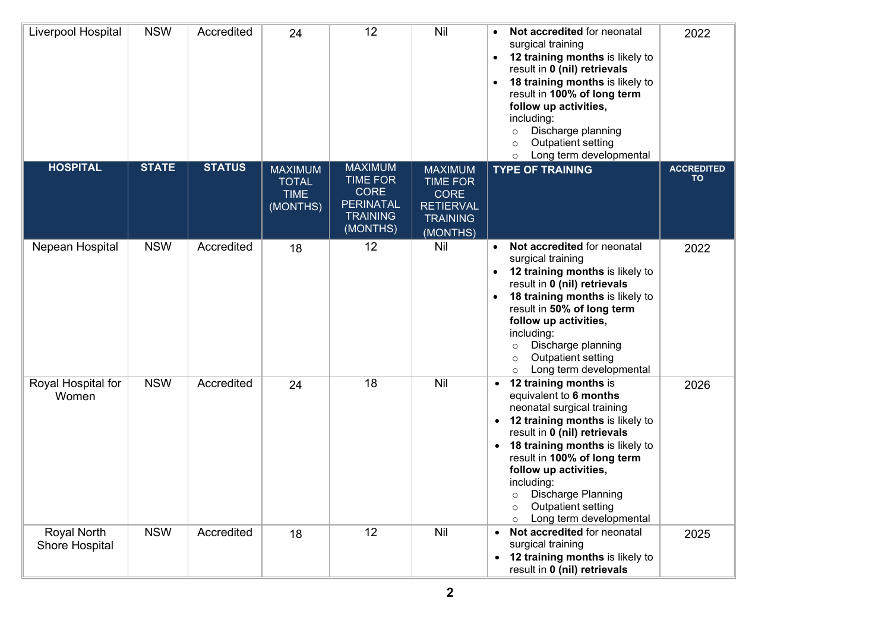| Liverpool Hospital            | <b>NSW</b>   | Accredited    | 24                                                        | 12                                                                                                  | <b>Nil</b>                                                                                          | Not accredited for neonatal<br>surgical training<br>12 training months is likely to<br>$\bullet$<br>result in 0 (nil) retrievals<br>18 training months is likely to<br>result in 100% of long term<br>follow up activities,<br>including:<br>Discharge planning<br>$\circ$<br>Outpatient setting<br>$\circ$<br>Long term developmental<br>$\circ$          | 2022                           |
|-------------------------------|--------------|---------------|-----------------------------------------------------------|-----------------------------------------------------------------------------------------------------|-----------------------------------------------------------------------------------------------------|------------------------------------------------------------------------------------------------------------------------------------------------------------------------------------------------------------------------------------------------------------------------------------------------------------------------------------------------------------|--------------------------------|
| <b>HOSPITAL</b>               | <b>STATE</b> | <b>STATUS</b> | <b>MAXIMUM</b><br><b>TOTAL</b><br><b>TIME</b><br>(MONTHS) | <b>MAXIMUM</b><br><b>TIME FOR</b><br><b>CORE</b><br><b>PERINATAL</b><br><b>TRAINING</b><br>(MONTHS) | <b>MAXIMUM</b><br><b>TIME FOR</b><br><b>CORE</b><br><b>RETIERVAL</b><br><b>TRAINING</b><br>(MONTHS) | <b>TYPE OF TRAINING</b>                                                                                                                                                                                                                                                                                                                                    | <b>ACCREDITED</b><br><b>TO</b> |
| Nepean Hospital               | <b>NSW</b>   | Accredited    | 18                                                        | 12                                                                                                  | <b>Nil</b>                                                                                          | Not accredited for neonatal<br>$\bullet$<br>surgical training<br>12 training months is likely to<br>result in 0 (nil) retrievals<br>18 training months is likely to<br>result in 50% of long term<br>follow up activities,<br>including:<br>Discharge planning<br>$\circ$<br>Outpatient setting<br>$\circ$<br>Long term developmental<br>$\circ$           | 2022                           |
| Royal Hospital for<br>Women   | <b>NSW</b>   | Accredited    | 24                                                        | 18                                                                                                  | Nil                                                                                                 | 12 training months is<br>equivalent to 6 months<br>neonatal surgical training<br>• 12 training months is likely to<br>result in 0 (nil) retrievals<br>• 18 training months is likely to<br>result in 100% of long term<br>follow up activities,<br>including:<br>Discharge Planning<br>$\circ$<br>Outpatient setting<br>$\circ$<br>Long term developmental | 2026                           |
| Royal North<br>Shore Hospital | <b>NSW</b>   | Accredited    | 18                                                        | 12                                                                                                  | Nil                                                                                                 | Not accredited for neonatal<br>surgical training<br>12 training months is likely to<br>result in 0 (nil) retrievals                                                                                                                                                                                                                                        | 2025                           |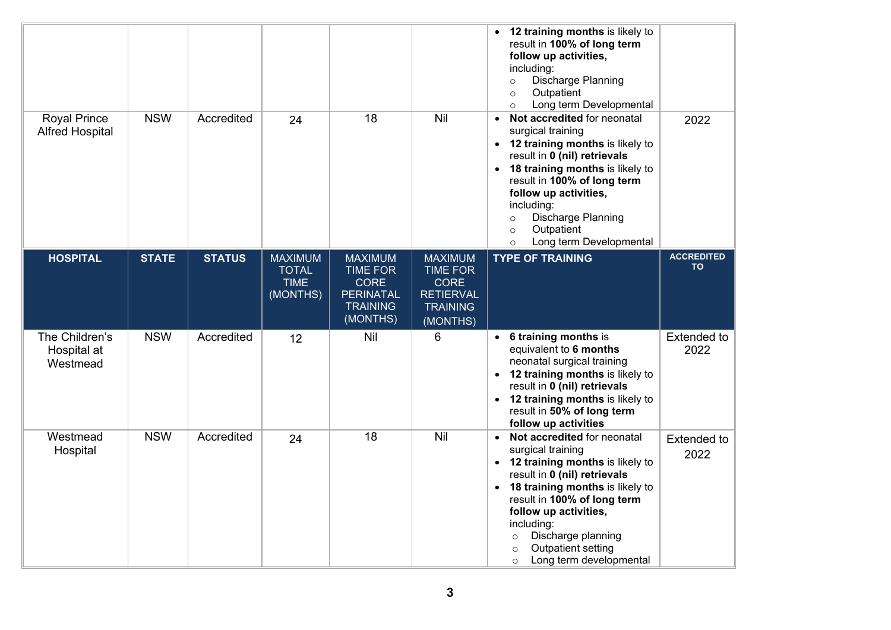|                                               |              |               |                                                           |                                                                                                     |                                                                                                     | 12 training months is likely to<br>result in 100% of long term<br>follow up activities,<br>including:<br>Discharge Planning<br>$\circ$<br>Outpatient<br>$\circ$<br>Long term Developmental<br>$\circ$                                                                                                                                         |                            |
|-----------------------------------------------|--------------|---------------|-----------------------------------------------------------|-----------------------------------------------------------------------------------------------------|-----------------------------------------------------------------------------------------------------|-----------------------------------------------------------------------------------------------------------------------------------------------------------------------------------------------------------------------------------------------------------------------------------------------------------------------------------------------|----------------------------|
| <b>Royal Prince</b><br><b>Alfred Hospital</b> | <b>NSW</b>   | Accredited    | 24                                                        | 18                                                                                                  | Nil                                                                                                 | Not accredited for neonatal<br>$\bullet$<br>surgical training<br>• 12 training months is likely to<br>result in 0 (nil) retrievals<br>• 18 training months is likely to<br>result in 100% of long term<br>follow up activities,<br>including:<br>Discharge Planning<br>$\circ$<br>Outpatient<br>$\circ$<br>Long term Developmental<br>$\circ$ | 2022                       |
| <b>HOSPITAL</b>                               | <b>STATE</b> | <b>STATUS</b> | <b>MAXIMUM</b><br><b>TOTAL</b><br><b>TIME</b><br>(MONTHS) | <b>MAXIMUM</b><br><b>TIME FOR</b><br><b>CORE</b><br><b>PERINATAL</b><br><b>TRAINING</b><br>(MONTHS) | <b>MAXIMUM</b><br><b>TIME FOR</b><br><b>CORE</b><br><b>RETIERVAL</b><br><b>TRAINING</b><br>(MONTHS) | <b>TYPE OF TRAINING</b>                                                                                                                                                                                                                                                                                                                       | <b>ACCREDITED</b><br>TO    |
| The Children's<br>Hospital at<br>Westmead     | <b>NSW</b>   | Accredited    | 12                                                        | Nil                                                                                                 | 6                                                                                                   | • 6 training months is<br>equivalent to 6 months<br>neonatal surgical training<br>• 12 training months is likely to<br>result in 0 (nil) retrievals<br>• 12 training months is likely to<br>result in 50% of long term<br>follow up activities                                                                                                | Extended to<br>2022        |
| Westmead<br>Hospital                          | <b>NSW</b>   | Accredited    | 24                                                        | 18                                                                                                  | <b>Nil</b>                                                                                          | • Not accredited for neonatal<br>surgical training<br>• 12 training months is likely to<br>result in 0 (nil) retrievals<br>• 18 training months is likely to<br>result in 100% of long term<br>follow up activities,<br>including:<br>Discharge planning<br>$\circ$<br>Outpatient setting<br>$\circ$<br>Long term developmental<br>$\circ$    | <b>Extended to</b><br>2022 |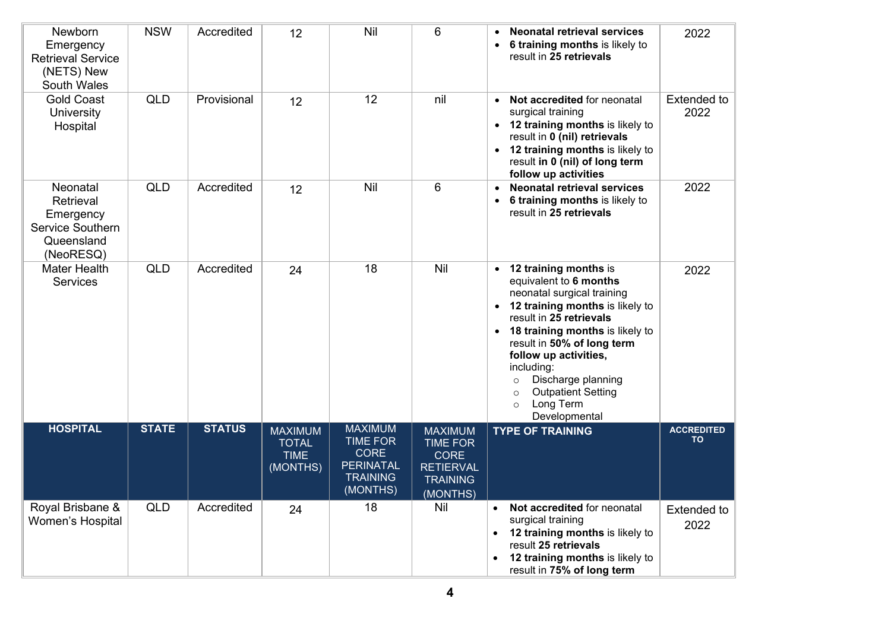| Newborn<br>Emergency<br><b>Retrieval Service</b><br>(NETS) New<br><b>South Wales</b> | <b>NSW</b>   | Accredited    | 12                                                        | Nil                                                                                                 | 6                                                                                                   | <b>Neonatal retrieval services</b><br>6 training months is likely to<br>result in 25 retrievals                                                                                                                                                                                                                                                                           | 2022                           |
|--------------------------------------------------------------------------------------|--------------|---------------|-----------------------------------------------------------|-----------------------------------------------------------------------------------------------------|-----------------------------------------------------------------------------------------------------|---------------------------------------------------------------------------------------------------------------------------------------------------------------------------------------------------------------------------------------------------------------------------------------------------------------------------------------------------------------------------|--------------------------------|
| <b>Gold Coast</b><br>University<br>Hospital                                          | <b>QLD</b>   | Provisional   | 12                                                        | 12                                                                                                  | nil                                                                                                 | • Not accredited for neonatal<br>surgical training<br>• 12 training months is likely to<br>result in 0 (nil) retrievals<br>• 12 training months is likely to<br>result in 0 (nil) of long term<br>follow up activities                                                                                                                                                    | <b>Extended to</b><br>2022     |
| Neonatal<br>Retrieval<br>Emergency<br>Service Southern<br>Queensland<br>(NeoRESQ)    | <b>QLD</b>   | Accredited    | 12                                                        | Nil                                                                                                 | 6                                                                                                   | <b>Neonatal retrieval services</b><br>$\bullet$<br>6 training months is likely to<br>result in 25 retrievals                                                                                                                                                                                                                                                              | 2022                           |
| <b>Mater Health</b><br><b>Services</b>                                               | <b>QLD</b>   | Accredited    | 24                                                        | 18                                                                                                  | Nil                                                                                                 | 12 training months is<br>equivalent to 6 months<br>neonatal surgical training<br>• 12 training months is likely to<br>result in 25 retrievals<br>• 18 training months is likely to<br>result in 50% of long term<br>follow up activities,<br>including:<br>Discharge planning<br>$\circ$<br><b>Outpatient Setting</b><br>$\circ$<br>Long Term<br>$\circ$<br>Developmental | 2022                           |
| <b>HOSPITAL</b>                                                                      | <b>STATE</b> | <b>STATUS</b> | <b>MAXIMUM</b><br><b>TOTAL</b><br><b>TIME</b><br>(MONTHS) | <b>MAXIMUM</b><br><b>TIME FOR</b><br><b>CORE</b><br><b>PERINATAL</b><br><b>TRAINING</b><br>(MONTHS) | <b>MAXIMUM</b><br><b>TIME FOR</b><br><b>CORE</b><br><b>RETIERVAL</b><br><b>TRAINING</b><br>(MONTHS) | <b>TYPE OF TRAINING</b>                                                                                                                                                                                                                                                                                                                                                   | <b>ACCREDITED</b><br><b>TO</b> |
| Royal Brisbane &<br><b>Women's Hospital</b>                                          | QLD          | Accredited    | 24                                                        | 18                                                                                                  | Nil                                                                                                 | Not accredited for neonatal<br>$\bullet$<br>surgical training<br>12 training months is likely to<br>result 25 retrievals<br>12 training months is likely to<br>result in 75% of long term                                                                                                                                                                                 | <b>Extended to</b><br>2022     |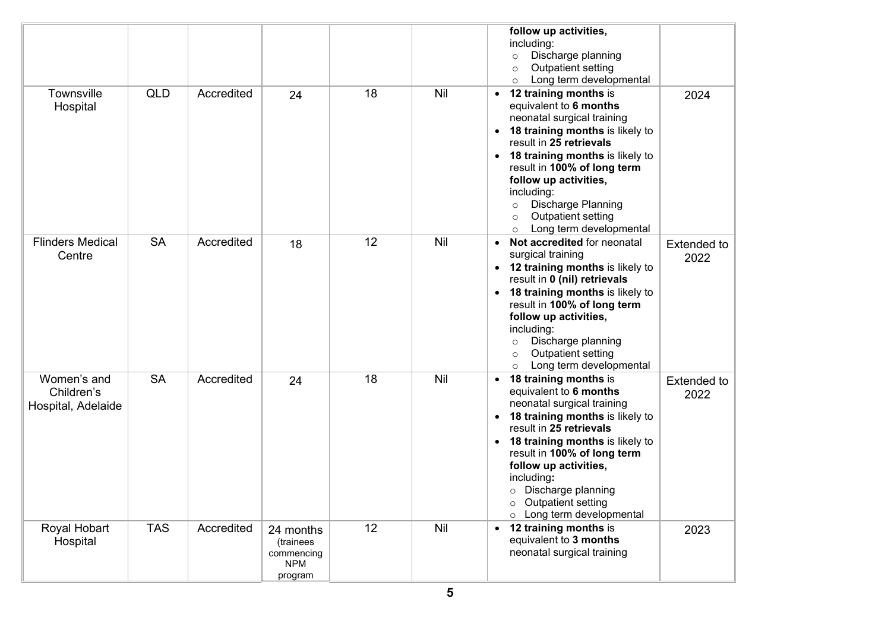|                                                 |            |            |                                                               |    |            | follow up activities,<br>including:<br>Discharge planning<br>$\circ$<br>Outpatient setting<br>$\circ$<br>Long term developmental<br>$\circ$                                                                                                                                                                                                                             |                            |
|-------------------------------------------------|------------|------------|---------------------------------------------------------------|----|------------|-------------------------------------------------------------------------------------------------------------------------------------------------------------------------------------------------------------------------------------------------------------------------------------------------------------------------------------------------------------------------|----------------------------|
| Townsville<br>Hospital                          | <b>QLD</b> | Accredited | 24                                                            | 18 | Nil        | 12 training months is<br>equivalent to 6 months<br>neonatal surgical training<br>18 training months is likely to<br>result in 25 retrievals<br>18 training months is likely to<br>result in 100% of long term<br>follow up activities,<br>including:<br>Discharge Planning<br>$\circ$<br>Outpatient setting<br>$\circ$<br>Long term developmental<br>$\circ$            | 2024                       |
| <b>Flinders Medical</b><br>Centre               | <b>SA</b>  | Accredited | 18                                                            | 12 | Nil        | Not accredited for neonatal<br>$\bullet$<br>surgical training<br>• 12 training months is likely to<br>result in 0 (nil) retrievals<br>18 training months is likely to<br>$\bullet$<br>result in 100% of long term<br>follow up activities,<br>including:<br>Discharge planning<br>$\circ$<br>Outpatient setting<br>$\circ$<br>Long term developmental<br>$\circ$        | <b>Extended to</b><br>2022 |
| Women's and<br>Children's<br>Hospital, Adelaide | <b>SA</b>  | Accredited | 24                                                            | 18 | Nil        | 18 training months is<br>equivalent to 6 months<br>neonatal surgical training<br>18 training months is likely to<br>$\bullet$<br>result in 25 retrievals<br><b>18 training months is likely to</b><br>result in 100% of long term<br>follow up activities,<br>including:<br>o Discharge planning<br>Outpatient setting<br>$\circ$<br>Long term developmental<br>$\circ$ | <b>Extended to</b><br>2022 |
| Royal Hobart<br>Hospital                        | <b>TAS</b> | Accredited | 24 months<br>(trainees<br>commencing<br><b>NPM</b><br>program | 12 | <b>Nil</b> | 12 training months is<br>$\bullet$<br>equivalent to 3 months<br>neonatal surgical training                                                                                                                                                                                                                                                                              | 2023                       |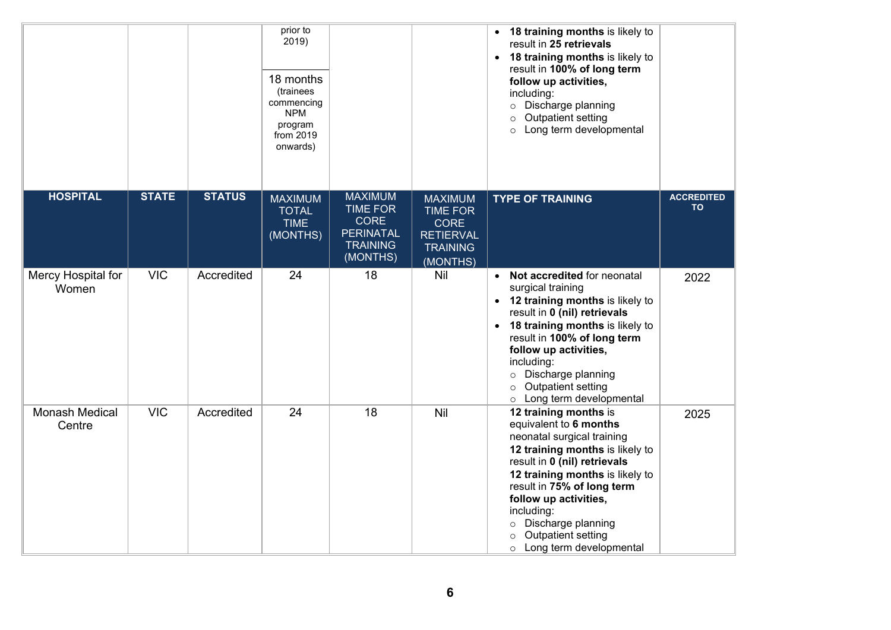|                                 |              |               | prior to<br>2019)<br>18 months<br>(trainees<br>commencing<br><b>NPM</b><br>program<br>from 2019<br>onwards) |                                                                                                     |                                                                                                     | • 18 training months is likely to<br>result in 25 retrievals<br>• 18 training months is likely to<br>result in 100% of long term<br>follow up activities,<br>including:<br>Discharge planning<br>$\circ$<br>Outpatient setting<br>$\circ$<br>Long term developmental<br>$\circ$                                                                |                                |
|---------------------------------|--------------|---------------|-------------------------------------------------------------------------------------------------------------|-----------------------------------------------------------------------------------------------------|-----------------------------------------------------------------------------------------------------|------------------------------------------------------------------------------------------------------------------------------------------------------------------------------------------------------------------------------------------------------------------------------------------------------------------------------------------------|--------------------------------|
| <b>HOSPITAL</b>                 | <b>STATE</b> | <b>STATUS</b> | <b>MAXIMUM</b><br><b>TOTAL</b><br><b>TIME</b><br>(MONTHS)                                                   | <b>MAXIMUM</b><br><b>TIME FOR</b><br><b>CORE</b><br><b>PERINATAL</b><br><b>TRAINING</b><br>(MONTHS) | <b>MAXIMUM</b><br><b>TIME FOR</b><br><b>CORE</b><br><b>RETIERVAL</b><br><b>TRAINING</b><br>(MONTHS) | <b>TYPE OF TRAINING</b>                                                                                                                                                                                                                                                                                                                        | <b>ACCREDITED</b><br><b>TO</b> |
| Mercy Hospital for<br>Women     | <b>VIC</b>   | Accredited    | 24                                                                                                          | 18                                                                                                  | Nil                                                                                                 | • Not accredited for neonatal<br>surgical training<br>• 12 training months is likely to<br>result in 0 (nil) retrievals<br>• 18 training months is likely to<br>result in 100% of long term<br>follow up activities,<br>including:<br>o Discharge planning<br>Outpatient setting<br>$\circ$<br>o Long term developmental                       | 2022                           |
| <b>Monash Medical</b><br>Centre | <b>VIC</b>   | Accredited    | 24                                                                                                          | 18                                                                                                  | Nil                                                                                                 | 12 training months is<br>equivalent to 6 months<br>neonatal surgical training<br>12 training months is likely to<br>result in 0 (nil) retrievals<br>12 training months is likely to<br>result in 75% of long term<br>follow up activities,<br>including:<br>o Discharge planning<br>Outpatient setting<br>$\circ$<br>o Long term developmental | 2025                           |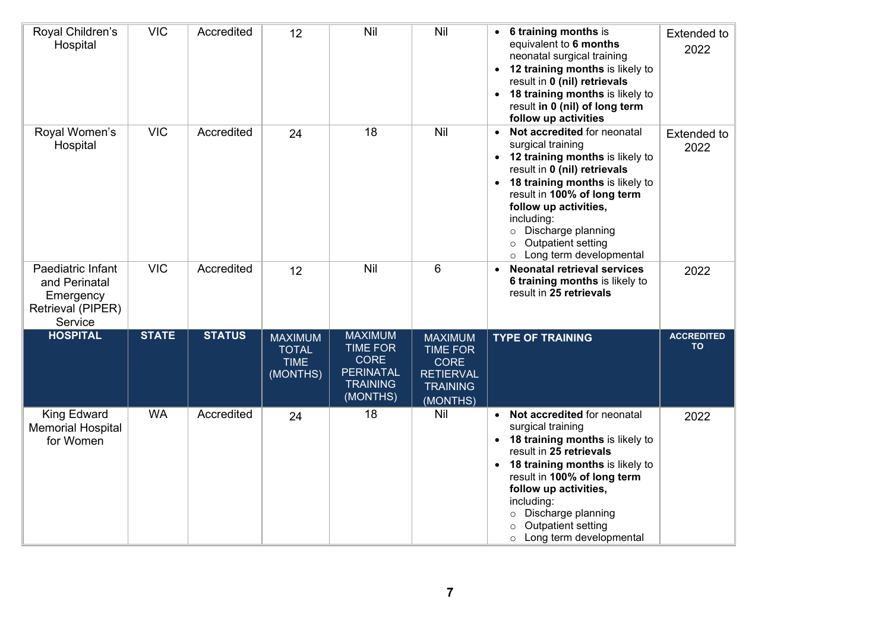| Royal Children's<br>Hospital                                                    | <b>VIC</b>   | Accredited    | 12                                                        | Nil                                                                                                 | Nil                                                                                                 | 6 training months is<br>equivalent to 6 months<br>neonatal surgical training<br>• 12 training months is likely to<br>result in 0 (nil) retrievals<br>• 18 training months is likely to<br>result in 0 (nil) of long term<br>follow up activities                                                                                             | <b>Extended to</b><br>2022     |
|---------------------------------------------------------------------------------|--------------|---------------|-----------------------------------------------------------|-----------------------------------------------------------------------------------------------------|-----------------------------------------------------------------------------------------------------|----------------------------------------------------------------------------------------------------------------------------------------------------------------------------------------------------------------------------------------------------------------------------------------------------------------------------------------------|--------------------------------|
| Royal Women's<br>Hospital                                                       | <b>VIC</b>   | Accredited    | 24                                                        | 18                                                                                                  | Nil                                                                                                 | Not accredited for neonatal<br>$\bullet$<br>surgical training<br>• 12 training months is likely to<br>result in 0 (nil) retrievals<br>• 18 training months is likely to<br>result in 100% of long term<br>follow up activities,<br>including:<br>Discharge planning<br>$\circ$<br>Outpatient setting<br>$\circ$<br>o Long term developmental | <b>Extended to</b><br>2022     |
| Paediatric Infant<br>and Perinatal<br>Emergency<br>Retrieval (PIPER)<br>Service | <b>VIC</b>   | Accredited    | 12                                                        | Nil                                                                                                 | 6                                                                                                   | <b>Neonatal retrieval services</b><br>6 training months is likely to<br>result in 25 retrievals                                                                                                                                                                                                                                              | 2022                           |
| <b>HOSPITAL</b>                                                                 | <b>STATE</b> | <b>STATUS</b> | <b>MAXIMUM</b><br><b>TOTAL</b><br><b>TIME</b><br>(MONTHS) | <b>MAXIMUM</b><br><b>TIME FOR</b><br><b>CORE</b><br><b>PERINATAL</b><br><b>TRAINING</b><br>(MONTHS) | <b>MAXIMUM</b><br><b>TIME FOR</b><br><b>CORE</b><br><b>RETIERVAL</b><br><b>TRAINING</b><br>(MONTHS) | <b>TYPE OF TRAINING</b>                                                                                                                                                                                                                                                                                                                      | <b>ACCREDITED</b><br><b>TO</b> |
| <b>King Edward</b><br><b>Memorial Hospital</b><br>for Women                     | <b>WA</b>    | Accredited    | 24                                                        | 18                                                                                                  | Nil                                                                                                 | • Not accredited for neonatal<br>surgical training<br>• 18 training months is likely to<br>result in 25 retrievals<br><b>18 training months is likely to</b><br>result in 100% of long term<br>follow up activities,<br>including:<br>Discharge planning<br>$\circ$<br>Outpatient setting<br>$\circ$<br>Long term developmental<br>$\circ$   | 2022                           |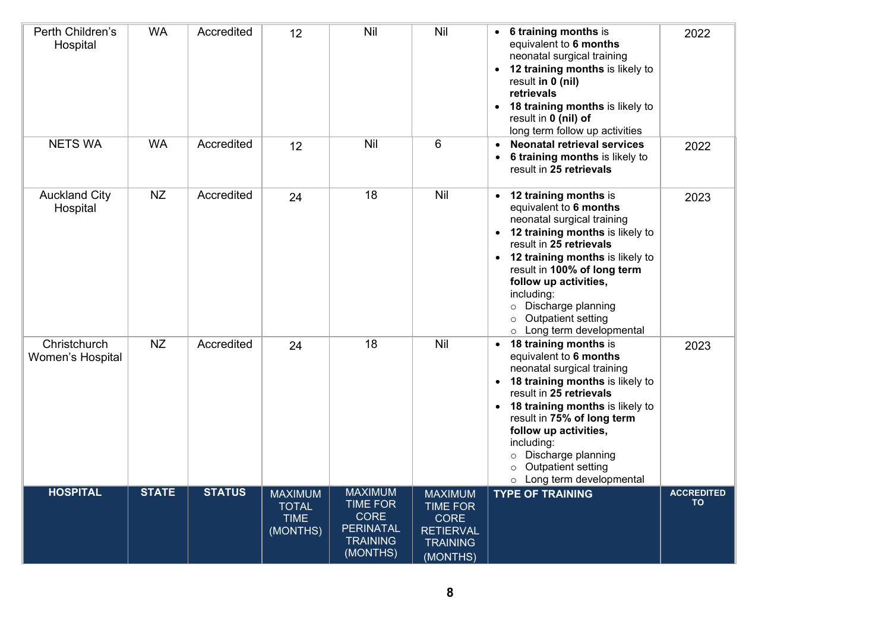| Perth Children's<br>Hospital     | <b>WA</b>    | Accredited    | 12                                                        | Nil                                                                                                 | Nil                                                                                                 | • 6 training months is<br>equivalent to 6 months<br>neonatal surgical training<br>• 12 training months is likely to<br>result in 0 (nil)<br>retrievals<br>• 18 training months is likely to<br>result in 0 (nil) of<br>long term follow up activities                                                                                                              | 2022                           |
|----------------------------------|--------------|---------------|-----------------------------------------------------------|-----------------------------------------------------------------------------------------------------|-----------------------------------------------------------------------------------------------------|--------------------------------------------------------------------------------------------------------------------------------------------------------------------------------------------------------------------------------------------------------------------------------------------------------------------------------------------------------------------|--------------------------------|
| <b>NETS WA</b>                   | <b>WA</b>    | Accredited    | 12                                                        | Nil                                                                                                 | 6                                                                                                   | <b>Neonatal retrieval services</b><br>• 6 training months is likely to<br>result in 25 retrievals                                                                                                                                                                                                                                                                  | 2022                           |
| <b>Auckland City</b><br>Hospital | NZ           | Accredited    | 24                                                        | 18                                                                                                  | Nil                                                                                                 | • 12 training months is<br>equivalent to 6 months<br>neonatal surgical training<br>• 12 training months is likely to<br>result in 25 retrievals<br>• 12 training months is likely to<br>result in 100% of long term<br>follow up activities,<br>including:<br>Discharge planning<br>$\circ$<br>Outpatient setting<br>$\circ$<br>Long term developmental<br>$\circ$ | 2023                           |
| Christchurch<br>Women's Hospital | NZ           | Accredited    | 24                                                        | 18                                                                                                  | Nil                                                                                                 | • 18 training months is<br>equivalent to 6 months<br>neonatal surgical training<br>• 18 training months is likely to<br>result in 25 retrievals<br>• 18 training months is likely to<br>result in 75% of long term<br>follow up activities,<br>including:<br>Discharge planning<br>$\circ$<br>Outpatient setting<br>$\circ$<br>o Long term developmental           | 2023                           |
| <b>HOSPITAL</b>                  | <b>STATE</b> | <b>STATUS</b> | <b>MAXIMUM</b><br><b>TOTAL</b><br><b>TIME</b><br>(MONTHS) | <b>MAXIMUM</b><br><b>TIME FOR</b><br><b>CORE</b><br><b>PERINATAL</b><br><b>TRAINING</b><br>(MONTHS) | <b>MAXIMUM</b><br><b>TIME FOR</b><br><b>CORE</b><br><b>RETIERVAL</b><br><b>TRAINING</b><br>(MONTHS) | <b>TYPE OF TRAINING</b>                                                                                                                                                                                                                                                                                                                                            | <b>ACCREDITED</b><br><b>TO</b> |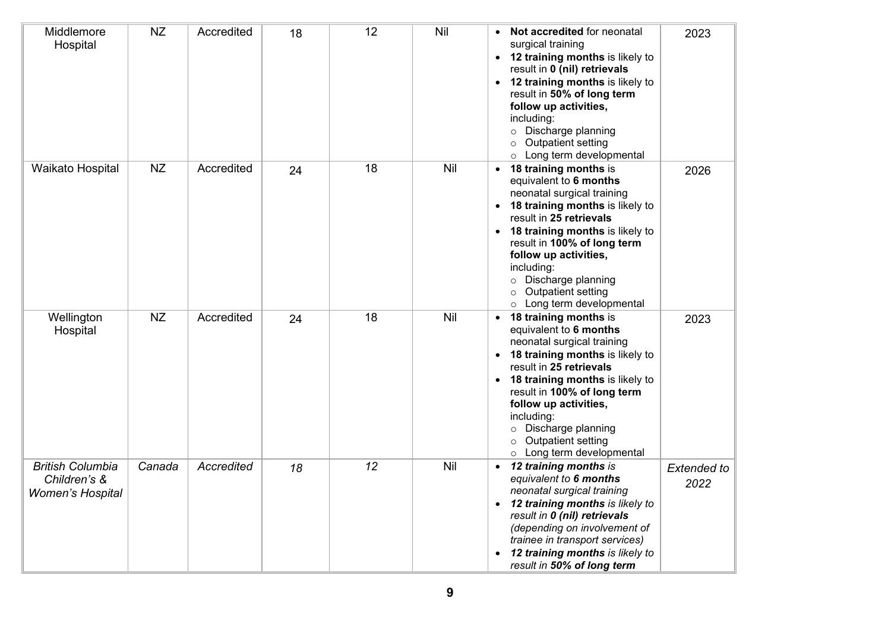| Middlemore<br>Hospital                                             | <b>NZ</b> | Accredited        | 18 | 12 | Nil | Not accredited for neonatal<br>$\bullet$<br>surgical training<br>• 12 training months is likely to<br>result in 0 (nil) retrievals<br>• 12 training months is likely to<br>result in 50% of long term<br>follow up activities,<br>including:<br>Discharge planning<br>$\circ$<br>Outpatient setting<br>$\circ$<br>o Long term developmental                        | 2023                       |
|--------------------------------------------------------------------|-----------|-------------------|----|----|-----|--------------------------------------------------------------------------------------------------------------------------------------------------------------------------------------------------------------------------------------------------------------------------------------------------------------------------------------------------------------------|----------------------------|
| Waikato Hospital                                                   | <b>NZ</b> | Accredited        | 24 | 18 | Nil | 18 training months is<br>$\bullet$<br>equivalent to 6 months<br>neonatal surgical training<br>18 training months is likely to<br>result in 25 retrievals<br>• 18 training months is likely to<br>result in 100% of long term<br>follow up activities,<br>including:<br>Discharge planning<br>$\circ$<br>Outpatient setting<br>$\circ$<br>o Long term developmental | 2026                       |
| Wellington<br>Hospital                                             | <b>NZ</b> | Accredited        | 24 | 18 | Nil | 18 training months is<br>$\bullet$<br>equivalent to 6 months<br>neonatal surgical training<br>18 training months is likely to<br>result in 25 retrievals<br>• 18 training months is likely to<br>result in 100% of long term<br>follow up activities,<br>including:<br>o Discharge planning<br>Outpatient setting<br>$\circ$<br>o Long term developmental          | 2023                       |
| <b>British Columbia</b><br>Children's &<br><b>Women's Hospital</b> | Canada    | <b>Accredited</b> | 18 | 12 | Nil | 12 training months is<br>$\bullet$<br>equivalent to 6 months<br>neonatal surgical training<br>• 12 training months is likely to<br>result in 0 (nil) retrievals<br>(depending on involvement of<br>trainee in transport services)<br>12 training months is likely to<br>result in 50% of long term                                                                 | <b>Extended to</b><br>2022 |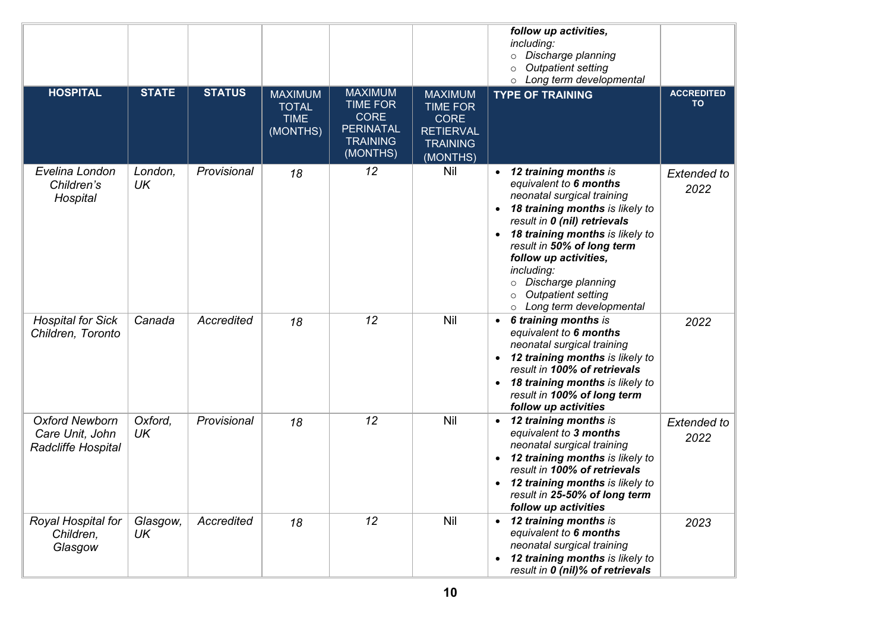|                                                                |                |               |                                                           |                                                                                                     |                                                                                                     | follow up activities,<br>including:<br>Discharge planning<br>$\circ$<br><b>Outpatient setting</b><br>$\circ$<br>Long term developmental<br>$\circ$                                                                                                                                                                                                                          |                                |
|----------------------------------------------------------------|----------------|---------------|-----------------------------------------------------------|-----------------------------------------------------------------------------------------------------|-----------------------------------------------------------------------------------------------------|-----------------------------------------------------------------------------------------------------------------------------------------------------------------------------------------------------------------------------------------------------------------------------------------------------------------------------------------------------------------------------|--------------------------------|
| <b>HOSPITAL</b>                                                | <b>STATE</b>   | <b>STATUS</b> | <b>MAXIMUM</b><br><b>TOTAL</b><br><b>TIME</b><br>(MONTHS) | <b>MAXIMUM</b><br><b>TIME FOR</b><br><b>CORE</b><br><b>PERINATAL</b><br><b>TRAINING</b><br>(MONTHS) | <b>MAXIMUM</b><br><b>TIME FOR</b><br><b>CORE</b><br><b>RETIERVAL</b><br><b>TRAINING</b><br>(MONTHS) | <b>TYPE OF TRAINING</b>                                                                                                                                                                                                                                                                                                                                                     | <b>ACCREDITED</b><br><b>TO</b> |
| Evelina London<br>Children's<br>Hospital                       | London,<br>UK  | Provisional   | 18                                                        | 12                                                                                                  | <b>Nil</b>                                                                                          | 12 training months is<br>equivalent to 6 months<br>neonatal surgical training<br>18 training months is likely to<br>$\bullet$<br>result in 0 (nil) retrievals<br>• 18 training months is likely to<br>result in 50% of long term<br>follow up activities,<br>including:<br>Discharge planning<br>$\circ$<br><b>Outpatient setting</b><br>$\circ$<br>Long term developmental | <b>Extended to</b><br>2022     |
| <b>Hospital for Sick</b><br>Children, Toronto                  | Canada         | Accredited    | 18                                                        | 12                                                                                                  | Nil                                                                                                 | 6 training months is<br>$\bullet$<br>equivalent to 6 months<br>neonatal surgical training<br>12 training months is likely to<br>$\bullet$<br>result in 100% of retrievals<br>• 18 training months is likely to<br>result in 100% of long term<br>follow up activities                                                                                                       | 2022                           |
| <b>Oxford Newborn</b><br>Care Unit, John<br>Radcliffe Hospital | Oxford,<br>UK  | Provisional   | 18                                                        | 12                                                                                                  | <b>Nil</b>                                                                                          | • 12 training months is<br>equivalent to 3 months<br>neonatal surgical training<br>12 training months is likely to<br>result in 100% of retrievals<br>12 training months is likely to<br>$\bullet$<br>result in 25-50% of long term<br>follow up activities                                                                                                                 | <b>Extended to</b><br>2022     |
| Royal Hospital for<br>Children,<br>Glasgow                     | Glasgow,<br>UK | Accredited    | 18                                                        | 12                                                                                                  | <b>Nil</b>                                                                                          | 12 training months is<br>equivalent to 6 months<br>neonatal surgical training<br>12 training months is likely to<br>result in 0 (nil)% of retrievals                                                                                                                                                                                                                        | 2023                           |